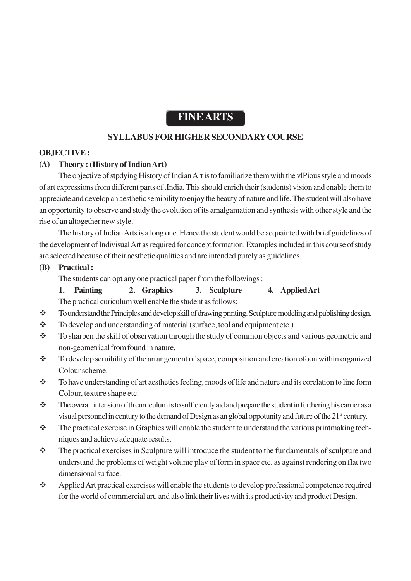# **FINE ARTS**

# **SYLLABUS FOR HIGHER SECONDARY COURSE**

#### **OBJECTIVE :**

#### **(A) Theory : (History of Indian Art)**

The objective of stpdying History of Indian Art is to familiarize them with the vlPious style and moods of art expressions from different parts of .India. This should enrich their (students) vision and enable them to appreciate and develop an aesthetic semibility to enjoy the beauty of nature and life. The student will also have an opportunity to observe and study the evolution of its amalgamation and synthesis with other style and the rise of an altogether new style.

The history of Indian Arts is a long one. Hence the student would be acquainted with brief guidelines of the development of Indivisual Art as required for concept formation. Examples included in this course of study are selected because of their aesthetic qualities and are intended purely as guidelines.

**(B) Practical :**

The students can opt any one practical paper from the followings :

**1. Painting 2. Graphics 3. Sculpture 4. Applied Art**

The practical curiculum well enable the student as follows:

- To understand the Principles and develop skill of drawing printing. Sculpture modeling and publishing design.
- \* To develop and understanding of material (surface, tool and equipment etc.)
- \* To sharpen the skill of observation through the study of common objects and various geometric and non-geometrical from found in nature.
- \* To develop seruibility of the arrangement of space, composition and creation of oon within organized Colour scheme.
- \* To have understanding of art aesthetics feeling, moods of life and nature and its corelation to line form Colour, texture shape etc.
- $\bullet$  The overall intension of th curriculum is to sufficiently aid and prepare the student in furthering his carrier as a visual personnel in century to the demand of Design as an global oppotunity and future of the 21<sup>st</sup> century.
- \* The practical exercise in Graphics will enable the student to understand the various printmaking techniques and achieve adequate results.
- $\mathbf{\hat{P}}$  The practical exercises in Sculpture will introduce the student to the fundamentals of sculpture and understand the problems of weight volume play of form in space etc. as against rendering on flat two dimensional surface.
- Applied Art practical exercises will enable the students to develop professional competence required for the world of commercial art, and also link their lives with its productivity and product Design.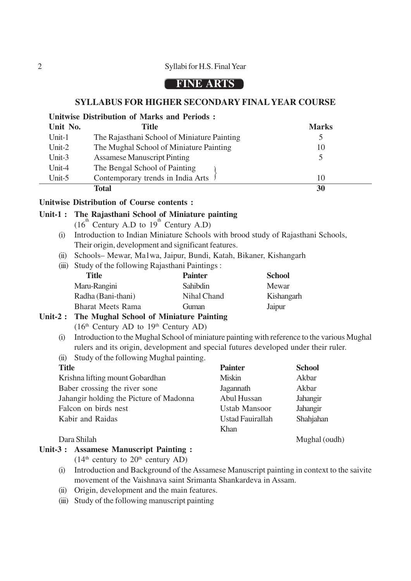#### 2 Syllabi for H.S. Final Year

# **FINE ARTS**

#### **SYLLABUS FOR HIGHER SECONDARY FINAL YEAR COURSE**

|           | <b>Unitwise Distribution of Marks and Periods:</b> |              |
|-----------|----------------------------------------------------|--------------|
| Unit No.  | <b>Title</b>                                       | <b>Marks</b> |
| Unit- $1$ | The Rajasthani School of Miniature Painting        |              |
| Unit- $2$ | The Mughal School of Miniature Painting            | 10           |
| Unit- $3$ | <b>Assamese Manuscript Pinting</b>                 |              |
| Unit-4    | The Bengal School of Painting                      |              |
| Unit-5    | Contemporary trends in India Arts                  | 10           |
|           | <b>Total</b>                                       | 30           |

#### **Unitwise Distribution of Course contents :**

### **Unit-1 : The Rajasthani School of Miniature painting**

- $(16^{th}$  Century A.D to  $19^{th}$  Century A.D)
- (i) Introduction to Indian Miniature Schools with brood study of Rajasthani Schools, Their origin, development and significant features.
- (ii) Schools– Mewar, Ma1wa, Jaipur, Bundi, Katah, Bikaner, Kishangarh
- (iii) Study of the following Rajasthani Paintings :

| Title                    | <b>Painter</b> | <b>School</b> |
|--------------------------|----------------|---------------|
| Maru-Rangini             | Sahibdin       | Mewar         |
| Radha (Bani-thani)       | Nihal Chand    | Kishangarh    |
| <b>Bharat Meets Rama</b> | Guman          | Jaipur        |
|                          |                |               |

# **Unit-2 : The Mughal School of Miniature Painting**

 $(16<sup>th</sup> Century AD to 19<sup>th</sup> Century AD)$ 

- (i) Introduction to the Mughal School of miniature painting with reference to the various Mughal rulers and its origin, development and special futures developed under their ruler.
- (ii) Study of the following Mughal painting.

| <b>Title</b>                            | <b>Painter</b>          | <b>School</b> |
|-----------------------------------------|-------------------------|---------------|
| Krishna lifting mount Gobardhan         | <b>Miskin</b>           | Akbar         |
| Baber crossing the river sone           | Jagannath               | Akbar         |
| Jahangir holding the Picture of Madonna | Abul Hussan             | Jahangir      |
| Falcon on birds nest                    | <b>Ustab Mansoor</b>    | Jahangir      |
| Kabir and Raidas                        | <b>Ustad Fauirallah</b> | Shahjahan     |
|                                         | Khan                    |               |
| Dara Shilah                             |                         | Mughal (oudh) |

#### **Unit-3 : Assamese Manuscript Painting :**

 $(14<sup>th</sup>$  century to  $20<sup>th</sup>$  century AD)

- (i) Introduction and Background of the Assamese Manuscript painting in context to the saivite movement of the Vaishnava saint Srimanta Shankardeva in Assam.
- (ii) Origin, development and the main features.
- (iii) Study of the following manuscript painting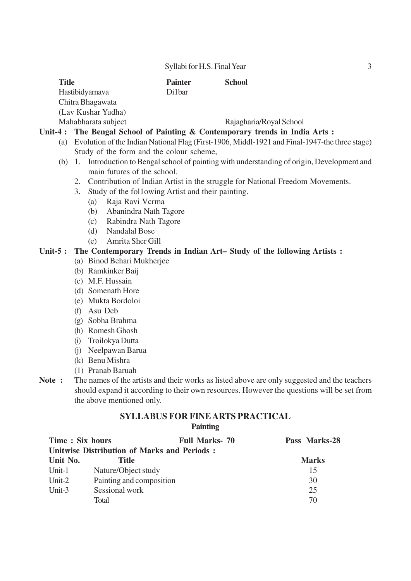Syllabi for H.S. Final Year 3

| <b>Title</b>        | <b>Painter</b> | <b>School</b>           |  |
|---------------------|----------------|-------------------------|--|
| Hastibidyarnava     | Di1bar         |                         |  |
| Chitra Bhagawata    |                |                         |  |
| (Lav Kushar Yudha)  |                |                         |  |
| Mahabharata subject |                | Rajagharia/Royal School |  |

#### **Unit-4 : The Bengal School of Painting & Contemporary trends in India Arts :**

- (a) Evolution of the Indian National Flag (First-1906, Middl-1921 and Final-1947-the three stage) Study of the form and the colour scheme,
- (b) 1. Introduction to Bengal school of painting with understanding of origin, Development and main futures of the school.
	- 2. Contribution of Indian Artist in the struggle for National Freedom Movements.
	- 3. Study of the fol1owing Artist and their painting.
		- (a) Raja Ravi Vcrma
		- (b) Abanindra Nath Tagore
		- (c) Rabindra Nath Tagore
		- (d) Nandalal Bose
		- (e) Amrita Sher Gill

#### **Unit-5 : The Contemporary Trends in Indian Art– Study of the following Artists :**

- (a) Binod Behari Mukherjee
- (b) Ramkinker Baij
- (c) M.F. Hussain
- (d) Somenath Hore
- (e) Mukta Bordoloi
- (f) Asu Deb
- (g) Sobha Brahma
- (h) Romesh Ghosh
- (i) Troilokya Dutta
- (j) Neelpawan Barua
- (k) Benu Mishra
- (1) Pranab Baruah
- **Note :** The names of the artists and their works as listed above are only suggested and the teachers should expand it according to their own resources. However the questions will be set from the above mentioned only.

#### **SYLLABUS FOR FINE ARTS PRACTICAL Painting**

| Time: Six hours                                    |                          | <b>Full Marks-70</b> | Pass Marks-28 |
|----------------------------------------------------|--------------------------|----------------------|---------------|
| <b>Unitwise Distribution of Marks and Periods:</b> |                          |                      |               |
| Unit No.                                           | <b>Title</b>             |                      | <b>Marks</b>  |
| Unit-1                                             | Nature/Object study      |                      | 15            |
| Unit- $2$                                          | Painting and composition |                      | 30            |
| Unit-3                                             | Sessional work           |                      | 25            |
|                                                    | Total                    |                      | 70            |